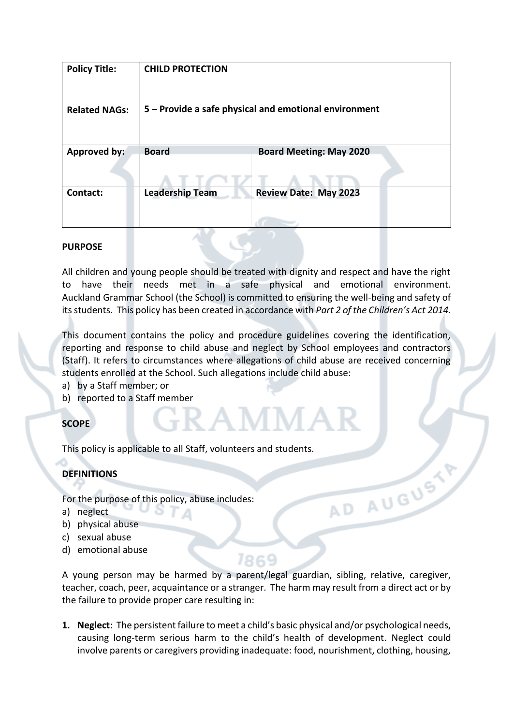| <b>Policy Title:</b> | <b>CHILD PROTECTION</b>                               |                                |
|----------------------|-------------------------------------------------------|--------------------------------|
| <b>Related NAGs:</b> | 5 - Provide a safe physical and emotional environment |                                |
| <b>Approved by:</b>  | <b>Board</b>                                          | <b>Board Meeting: May 2020</b> |
| Contact:             | <b>Leadership Team</b>                                | <b>Review Date: May 2023</b>   |

### **PURPOSE**

All children and young people should be treated with dignity and respect and have the right to have their needs met in a safe physical and emotional environment. Auckland Grammar School (the School) is committed to ensuring the well-being and safety of its students. This policy has been created in accordance with *Part 2 of the Children's Act 2014.*

This document contains the policy and procedure guidelines covering the identification, reporting and response to child abuse and neglect by School employees and contractors (Staff). It refers to circumstances where allegations of child abuse are received concerning students enrolled at the School. Such allegations include child abuse:

- a) by a Staff member; or
- b) reported to a Staff member

## **SCOPE**

This policy is applicable to all Staff, volunteers and students.

## **DEFINITIONS**

For the purpose of this policy, abuse includes:

- a) neglect
- b) physical abuse
- c) sexual abuse
- d) emotional abuse

A young person may be harmed by a parent/legal guardian, sibling, relative, caregiver, teacher, coach, peer, acquaintance or a stranger. The harm may result from a direct act or by the failure to provide proper care resulting in:

7869

AD AUGUSTY

**1. Neglect**: The persistent failure to meet a child's basic physical and/or psychological needs, causing long-term serious harm to the child's health of development. Neglect could involve parents or caregivers providing inadequate: food, nourishment, clothing, housing,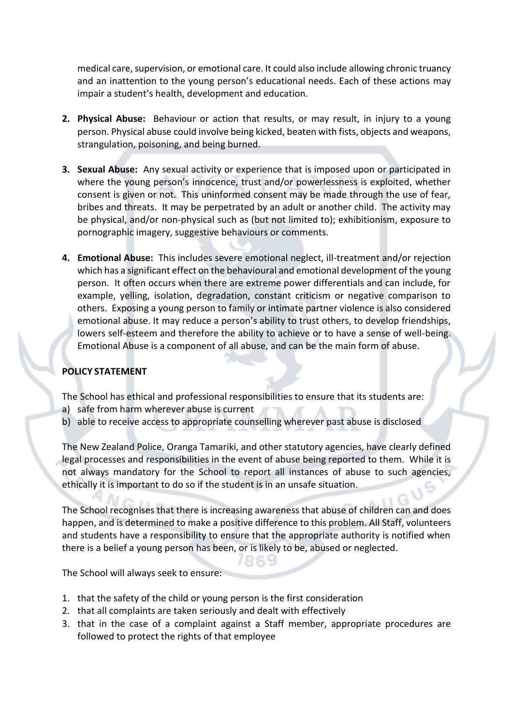medical care, supervision, or emotional care. It could also include allowing chronic truancy and an inattention to the young person's educational needs. Each of these actions may impair a student's health, development and education.

- **2. Physical Abuse:** Behaviour or action that results, or may result, in injury to a young person. Physical abuse could involve being kicked, beaten with fists, objects and weapons, strangulation, poisoning, and being burned.
- **3. Sexual Abuse:** Any sexual activity or experience that is imposed upon or participated in where the young person's innocence, trust and/or powerlessness is exploited, whether consent is given or not. This uninformed consent may be made through the use of fear, bribes and threats. It may be perpetrated by an adult or another child. The activity may be physical, and/or non-physical such as (but not limited to); exhibitionism, exposure to pornographic imagery, suggestive behaviours or comments.
- **4. Emotional Abuse:** This includes severe emotional neglect, ill-treatment and/or rejection which has a significant effect on the behavioural and emotional development of the young person. It often occurs when there are extreme power differentials and can include, for example, yelling, isolation, degradation, constant criticism or negative comparison to others. Exposing a young person to family or intimate partner violence is also considered emotional abuse. It may reduce a person's ability to trust others, to develop friendships, lowers self-esteem and therefore the ability to achieve or to have a sense of well-being. Emotional Abuse is a component of all abuse, and can be the main form of abuse.

## **POLICY STATEMENT**

The School has ethical and professional responsibilities to ensure that its students are:

- a) safe from harm wherever abuse is current
- b) able to receive access to appropriate counselling wherever past abuse is disclosed

The New Zealand Police, Oranga Tamariki, and other statutory agencies, have clearly defined legal processes and responsibilities in the event of abuse being reported to them. While it is not always mandatory for the School to report all instances of abuse to such agencies, ethically it is important to do so if the student is in an unsafe situation.

The School recognises that there is increasing awareness that abuse of children can and does happen, and is determined to make a positive difference to this problem. All Staff, volunteers and students have a responsibility to ensure that the appropriate authority is notified when there is a belief a young person has been, or is likely to be, abused or neglected.

The School will always seek to ensure:

- 1. that the safety of the child or young person is the first consideration
- 2. that all complaints are taken seriously and dealt with effectively
- 3. that in the case of a complaint against a Staff member, appropriate procedures are followed to protect the rights of that employee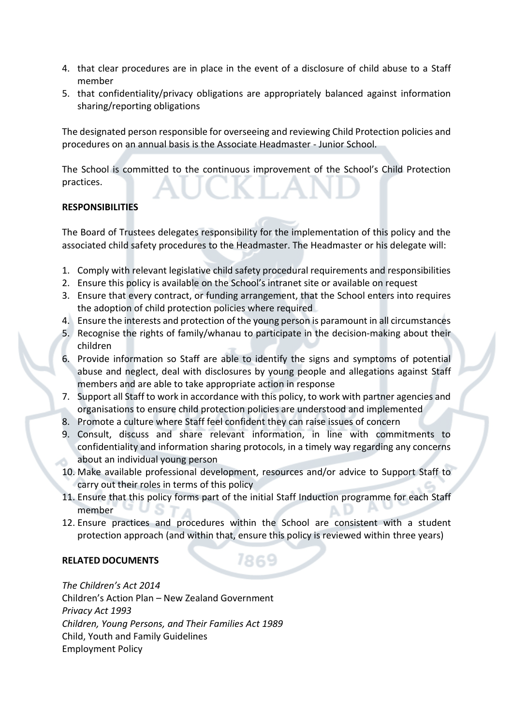- 4. that clear procedures are in place in the event of a disclosure of child abuse to a Staff member
- 5. that confidentiality/privacy obligations are appropriately balanced against information sharing/reporting obligations

The designated person responsible for overseeing and reviewing Child Protection policies and procedures on an annual basis is the Associate Headmaster - Junior School.

The School is committed to the continuous improvement of the School's Child Protection practices.

# **RESPONSIBILITIES**

The Board of Trustees delegates responsibility for the implementation of this policy and the associated child safety procedures to the Headmaster. The Headmaster or his delegate will:

- 1. Comply with relevant legislative child safety procedural requirements and responsibilities
- 2. Ensure this policy is available on the School's intranet site or available on request
- 3. Ensure that every contract, or funding arrangement, that the School enters into requires the adoption of child protection policies where required
- 4. Ensure the interests and protection of the young person is paramount in all circumstances
- 5. Recognise the rights of family/whanau to participate in the decision-making about their children
- 6. Provide information so Staff are able to identify the signs and symptoms of potential abuse and neglect, deal with disclosures by young people and allegations against Staff members and are able to take appropriate action in response
- 7. Support all Staff to work in accordance with this policy, to work with partner agencies and organisations to ensure child protection policies are understood and implemented
- 8. Promote a culture where Staff feel confident they can raise issues of concern
- 9. Consult, discuss and share relevant information, in line with commitments to confidentiality and information sharing protocols, in a timely way regarding any concerns about an individual young person
- 10. Make available professional development, resources and/or advice to Support Staff to carry out their roles in terms of this policy
- 11. Ensure that this policy forms part of the initial Staff Induction programme for each Staff member
- 12. Ensure practices and procedures within the School are consistent with a student protection approach (and within that, ensure this policy is reviewed within three years)

1869

## **RELATED DOCUMENTS**

*The Children's Act 2014* Children's Action Plan – New Zealand Government *Privacy Act 1993 Children, Young Persons, and Their Families Act 1989* Child, Youth and Family Guidelines Employment Policy